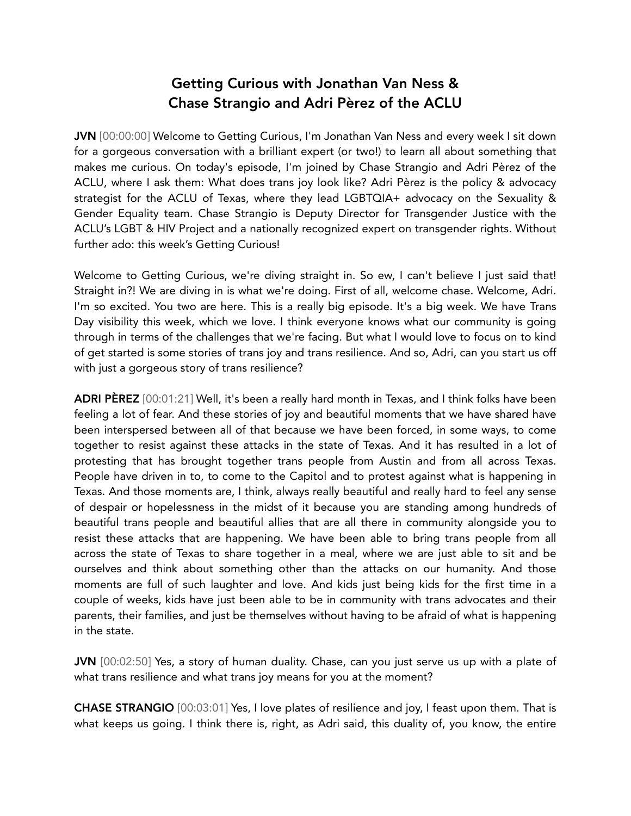## Getting Curious with Jonathan Van Ness & Chase Strangio and Adri Pèrez of the ACLU

JVN [00:00:00] Welcome to Getting Curious, I'm Jonathan Van Ness and every week I sit down for a gorgeous conversation with a brilliant expert (or two!) to learn all about something that makes me curious. On today's episode, I'm joined by Chase Strangio and Adri Pèrez of the ACLU, where I ask them: What does trans joy look like? Adri Pèrez is the policy & advocacy strategist for the ACLU of Texas, where they lead LGBTQIA+ advocacy on the Sexuality & Gender Equality team. Chase Strangio is Deputy Director for Transgender Justice with the ACLU's LGBT & HIV Project and a nationally recognized expert on transgender rights. Without further ado: this week's Getting Curious!

Welcome to Getting Curious, we're diving straight in. So ew, I can't believe I just said that! Straight in?! We are diving in is what we're doing. First of all, welcome chase. Welcome, Adri. I'm so excited. You two are here. This is a really big episode. It's a big week. We have Trans Day visibility this week, which we love. I think everyone knows what our community is going through in terms of the challenges that we're facing. But what I would love to focus on to kind of get started is some stories of trans joy and trans resilience. And so, Adri, can you start us off with just a gorgeous story of trans resilience?

ADRI PÈREZ [00:01:21] Well, it's been a really hard month in Texas, and I think folks have been feeling a lot of fear. And these stories of joy and beautiful moments that we have shared have been interspersed between all of that because we have been forced, in some ways, to come together to resist against these attacks in the state of Texas. And it has resulted in a lot of protesting that has brought together trans people from Austin and from all across Texas. People have driven in to, to come to the Capitol and to protest against what is happening in Texas. And those moments are, I think, always really beautiful and really hard to feel any sense of despair or hopelessness in the midst of it because you are standing among hundreds of beautiful trans people and beautiful allies that are all there in community alongside you to resist these attacks that are happening. We have been able to bring trans people from all across the state of Texas to share together in a meal, where we are just able to sit and be ourselves and think about something other than the attacks on our humanity. And those moments are full of such laughter and love. And kids just being kids for the first time in a couple of weeks, kids have just been able to be in community with trans advocates and their parents, their families, and just be themselves without having to be afraid of what is happening in the state.

JVN [00:02:50] Yes, a story of human duality. Chase, can you just serve us up with a plate of what trans resilience and what trans joy means for you at the moment?

CHASE STRANGIO [00:03:01] Yes, I love plates of resilience and joy, I feast upon them. That is what keeps us going. I think there is, right, as Adri said, this duality of, you know, the entire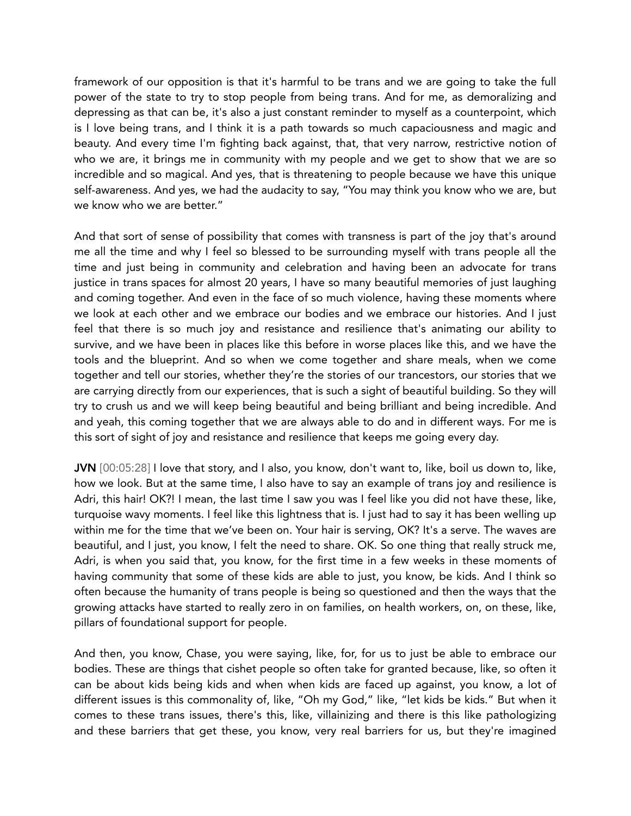framework of our opposition is that it's harmful to be trans and we are going to take the full power of the state to try to stop people from being trans. And for me, as demoralizing and depressing as that can be, it's also a just constant reminder to myself as a counterpoint, which is I love being trans, and I think it is a path towards so much capaciousness and magic and beauty. And every time I'm fighting back against, that, that very narrow, restrictive notion of who we are, it brings me in community with my people and we get to show that we are so incredible and so magical. And yes, that is threatening to people because we have this unique self-awareness. And yes, we had the audacity to say, "You may think you know who we are, but we know who we are better."

And that sort of sense of possibility that comes with transness is part of the joy that's around me all the time and why I feel so blessed to be surrounding myself with trans people all the time and just being in community and celebration and having been an advocate for trans justice in trans spaces for almost 20 years, I have so many beautiful memories of just laughing and coming together. And even in the face of so much violence, having these moments where we look at each other and we embrace our bodies and we embrace our histories. And I just feel that there is so much joy and resistance and resilience that's animating our ability to survive, and we have been in places like this before in worse places like this, and we have the tools and the blueprint. And so when we come together and share meals, when we come together and tell our stories, whether they're the stories of our trancestors, our stories that we are carrying directly from our experiences, that is such a sight of beautiful building. So they will try to crush us and we will keep being beautiful and being brilliant and being incredible. And and yeah, this coming together that we are always able to do and in different ways. For me is this sort of sight of joy and resistance and resilience that keeps me going every day.

JVN [00:05:28] I love that story, and I also, you know, don't want to, like, boil us down to, like, how we look. But at the same time, I also have to say an example of trans joy and resilience is Adri, this hair! OK?! I mean, the last time I saw you was I feel like you did not have these, like, turquoise wavy moments. I feel like this lightness that is. I just had to say it has been welling up within me for the time that we've been on. Your hair is serving, OK? It's a serve. The waves are beautiful, and I just, you know, I felt the need to share. OK. So one thing that really struck me, Adri, is when you said that, you know, for the first time in a few weeks in these moments of having community that some of these kids are able to just, you know, be kids. And I think so often because the humanity of trans people is being so questioned and then the ways that the growing attacks have started to really zero in on families, on health workers, on, on these, like, pillars of foundational support for people.

And then, you know, Chase, you were saying, like, for, for us to just be able to embrace our bodies. These are things that cishet people so often take for granted because, like, so often it can be about kids being kids and when when kids are faced up against, you know, a lot of different issues is this commonality of, like, "Oh my God," like, "let kids be kids." But when it comes to these trans issues, there's this, like, villainizing and there is this like pathologizing and these barriers that get these, you know, very real barriers for us, but they're imagined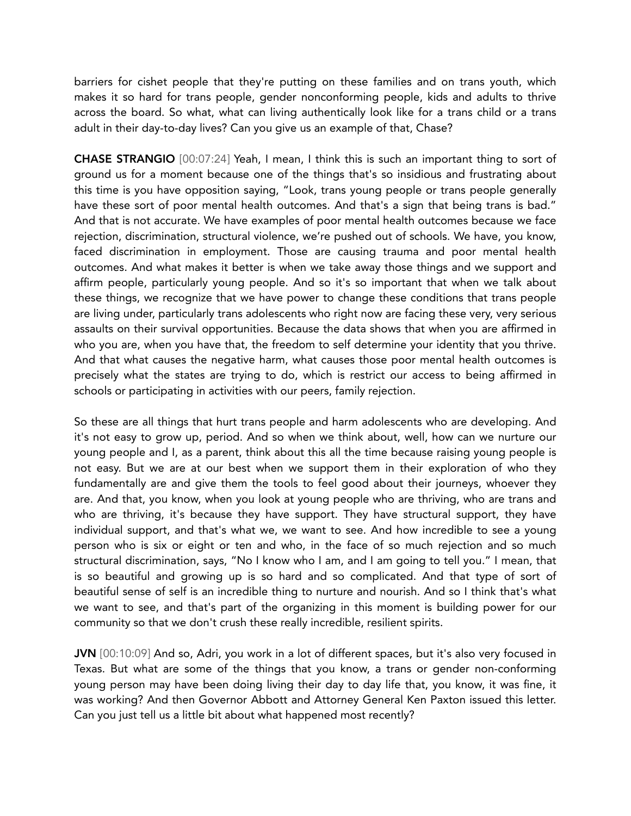barriers for cishet people that they're putting on these families and on trans youth, which makes it so hard for trans people, gender nonconforming people, kids and adults to thrive across the board. So what, what can living authentically look like for a trans child or a trans adult in their day-to-day lives? Can you give us an example of that, Chase?

CHASE STRANGIO [00:07:24] Yeah, I mean, I think this is such an important thing to sort of ground us for a moment because one of the things that's so insidious and frustrating about this time is you have opposition saying, "Look, trans young people or trans people generally have these sort of poor mental health outcomes. And that's a sign that being trans is bad." And that is not accurate. We have examples of poor mental health outcomes because we face rejection, discrimination, structural violence, we're pushed out of schools. We have, you know, faced discrimination in employment. Those are causing trauma and poor mental health outcomes. And what makes it better is when we take away those things and we support and affirm people, particularly young people. And so it's so important that when we talk about these things, we recognize that we have power to change these conditions that trans people are living under, particularly trans adolescents who right now are facing these very, very serious assaults on their survival opportunities. Because the data shows that when you are affirmed in who you are, when you have that, the freedom to self determine your identity that you thrive. And that what causes the negative harm, what causes those poor mental health outcomes is precisely what the states are trying to do, which is restrict our access to being affirmed in schools or participating in activities with our peers, family rejection.

So these are all things that hurt trans people and harm adolescents who are developing. And it's not easy to grow up, period. And so when we think about, well, how can we nurture our young people and I, as a parent, think about this all the time because raising young people is not easy. But we are at our best when we support them in their exploration of who they fundamentally are and give them the tools to feel good about their journeys, whoever they are. And that, you know, when you look at young people who are thriving, who are trans and who are thriving, it's because they have support. They have structural support, they have individual support, and that's what we, we want to see. And how incredible to see a young person who is six or eight or ten and who, in the face of so much rejection and so much structural discrimination, says, "No I know who I am, and I am going to tell you." I mean, that is so beautiful and growing up is so hard and so complicated. And that type of sort of beautiful sense of self is an incredible thing to nurture and nourish. And so I think that's what we want to see, and that's part of the organizing in this moment is building power for our community so that we don't crush these really incredible, resilient spirits.

JVN [00:10:09] And so, Adri, you work in a lot of different spaces, but it's also very focused in Texas. But what are some of the things that you know, a trans or gender non-conforming young person may have been doing living their day to day life that, you know, it was fine, it was working? And then Governor Abbott and Attorney General Ken Paxton issued this letter. Can you just tell us a little bit about what happened most recently?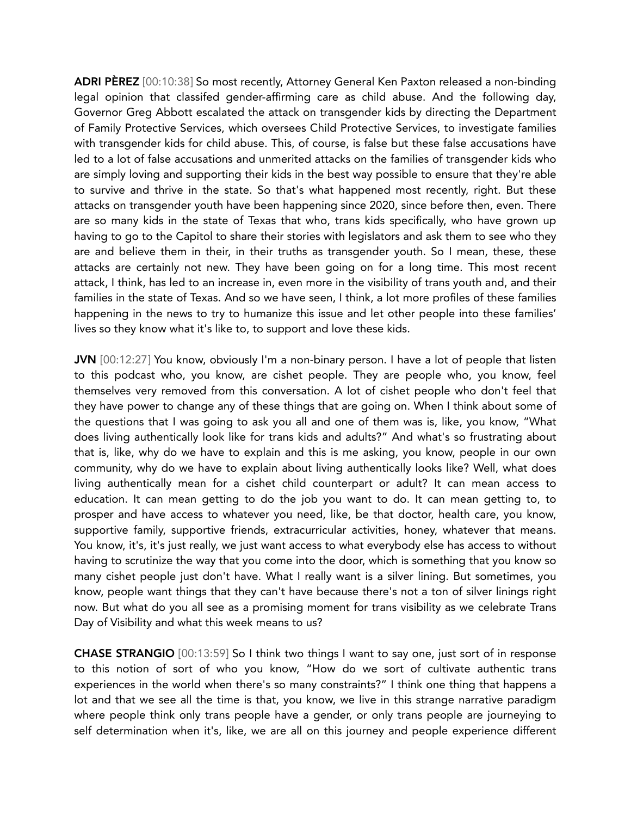ADRI PÈREZ [00:10:38] So most recently, Attorney General Ken Paxton released a non-binding legal opinion that classifed gender-affirming care as child abuse. And the following day, Governor Greg Abbott escalated the attack on transgender kids by directing the Department of Family Protective Services, which oversees Child Protective Services, to investigate families with transgender kids for child abuse. This, of course, is false but these false accusations have led to a lot of false accusations and unmerited attacks on the families of transgender kids who are simply loving and supporting their kids in the best way possible to ensure that they're able to survive and thrive in the state. So that's what happened most recently, right. But these attacks on transgender youth have been happening since 2020, since before then, even. There are so many kids in the state of Texas that who, trans kids specifically, who have grown up having to go to the Capitol to share their stories with legislators and ask them to see who they are and believe them in their, in their truths as transgender youth. So I mean, these, these attacks are certainly not new. They have been going on for a long time. This most recent attack, I think, has led to an increase in, even more in the visibility of trans youth and, and their families in the state of Texas. And so we have seen, I think, a lot more profiles of these families happening in the news to try to humanize this issue and let other people into these families' lives so they know what it's like to, to support and love these kids.

JVN [00:12:27] You know, obviously I'm a non-binary person. I have a lot of people that listen to this podcast who, you know, are cishet people. They are people who, you know, feel themselves very removed from this conversation. A lot of cishet people who don't feel that they have power to change any of these things that are going on. When I think about some of the questions that I was going to ask you all and one of them was is, like, you know, "What does living authentically look like for trans kids and adults?" And what's so frustrating about that is, like, why do we have to explain and this is me asking, you know, people in our own community, why do we have to explain about living authentically looks like? Well, what does living authentically mean for a cishet child counterpart or adult? It can mean access to education. It can mean getting to do the job you want to do. It can mean getting to, to prosper and have access to whatever you need, like, be that doctor, health care, you know, supportive family, supportive friends, extracurricular activities, honey, whatever that means. You know, it's, it's just really, we just want access to what everybody else has access to without having to scrutinize the way that you come into the door, which is something that you know so many cishet people just don't have. What I really want is a silver lining. But sometimes, you know, people want things that they can't have because there's not a ton of silver linings right now. But what do you all see as a promising moment for trans visibility as we celebrate Trans Day of Visibility and what this week means to us?

CHASE STRANGIO [00:13:59] So I think two things I want to say one, just sort of in response to this notion of sort of who you know, "How do we sort of cultivate authentic trans experiences in the world when there's so many constraints?" I think one thing that happens a lot and that we see all the time is that, you know, we live in this strange narrative paradigm where people think only trans people have a gender, or only trans people are journeying to self determination when it's, like, we are all on this journey and people experience different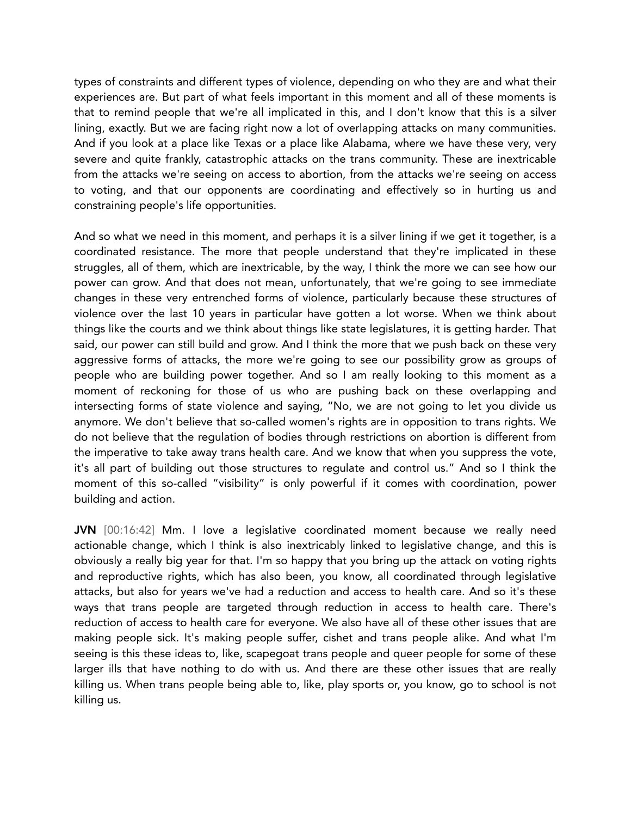types of constraints and different types of violence, depending on who they are and what their experiences are. But part of what feels important in this moment and all of these moments is that to remind people that we're all implicated in this, and I don't know that this is a silver lining, exactly. But we are facing right now a lot of overlapping attacks on many communities. And if you look at a place like Texas or a place like Alabama, where we have these very, very severe and quite frankly, catastrophic attacks on the trans community. These are inextricable from the attacks we're seeing on access to abortion, from the attacks we're seeing on access to voting, and that our opponents are coordinating and effectively so in hurting us and constraining people's life opportunities.

And so what we need in this moment, and perhaps it is a silver lining if we get it together, is a coordinated resistance. The more that people understand that they're implicated in these struggles, all of them, which are inextricable, by the way, I think the more we can see how our power can grow. And that does not mean, unfortunately, that we're going to see immediate changes in these very entrenched forms of violence, particularly because these structures of violence over the last 10 years in particular have gotten a lot worse. When we think about things like the courts and we think about things like state legislatures, it is getting harder. That said, our power can still build and grow. And I think the more that we push back on these very aggressive forms of attacks, the more we're going to see our possibility grow as groups of people who are building power together. And so I am really looking to this moment as a moment of reckoning for those of us who are pushing back on these overlapping and intersecting forms of state violence and saying, "No, we are not going to let you divide us anymore. We don't believe that so-called women's rights are in opposition to trans rights. We do not believe that the regulation of bodies through restrictions on abortion is different from the imperative to take away trans health care. And we know that when you suppress the vote, it's all part of building out those structures to regulate and control us." And so I think the moment of this so-called "visibility" is only powerful if it comes with coordination, power building and action.

JVN [00:16:42] Mm. I love a legislative coordinated moment because we really need actionable change, which I think is also inextricably linked to legislative change, and this is obviously a really big year for that. I'm so happy that you bring up the attack on voting rights and reproductive rights, which has also been, you know, all coordinated through legislative attacks, but also for years we've had a reduction and access to health care. And so it's these ways that trans people are targeted through reduction in access to health care. There's reduction of access to health care for everyone. We also have all of these other issues that are making people sick. It's making people suffer, cishet and trans people alike. And what I'm seeing is this these ideas to, like, scapegoat trans people and queer people for some of these larger ills that have nothing to do with us. And there are these other issues that are really killing us. When trans people being able to, like, play sports or, you know, go to school is not killing us.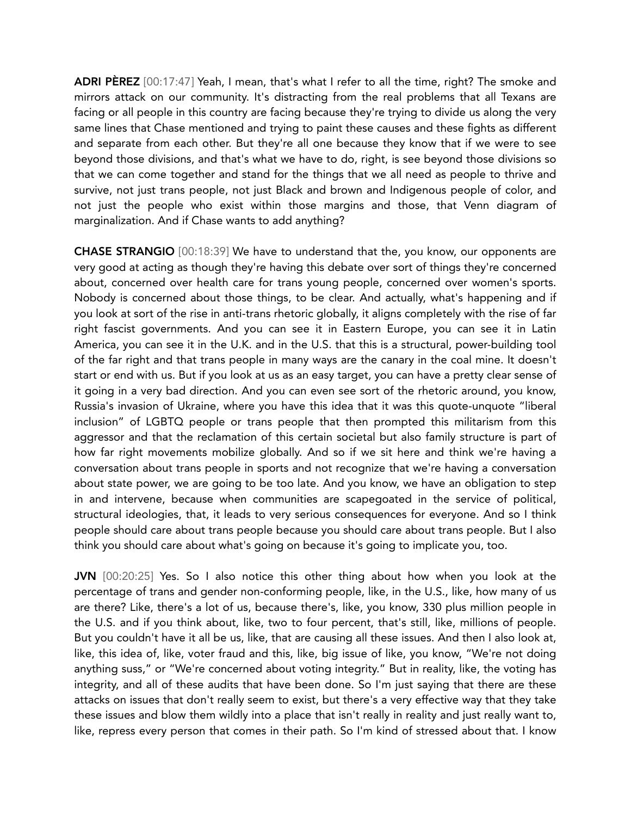ADRI PEREZ [00:17:47] Yeah, I mean, that's what I refer to all the time, right? The smoke and mirrors attack on our community. It's distracting from the real problems that all Texans are facing or all people in this country are facing because they're trying to divide us along the very same lines that Chase mentioned and trying to paint these causes and these fights as different and separate from each other. But they're all one because they know that if we were to see beyond those divisions, and that's what we have to do, right, is see beyond those divisions so that we can come together and stand for the things that we all need as people to thrive and survive, not just trans people, not just Black and brown and Indigenous people of color, and not just the people who exist within those margins and those, that Venn diagram of marginalization. And if Chase wants to add anything?

CHASE STRANGIO [00:18:39] We have to understand that the, you know, our opponents are very good at acting as though they're having this debate over sort of things they're concerned about, concerned over health care for trans young people, concerned over women's sports. Nobody is concerned about those things, to be clear. And actually, what's happening and if you look at sort of the rise in anti-trans rhetoric globally, it aligns completely with the rise of far right fascist governments. And you can see it in Eastern Europe, you can see it in Latin America, you can see it in the U.K. and in the U.S. that this is a structural, power-building tool of the far right and that trans people in many ways are the canary in the coal mine. It doesn't start or end with us. But if you look at us as an easy target, you can have a pretty clear sense of it going in a very bad direction. And you can even see sort of the rhetoric around, you know, Russia's invasion of Ukraine, where you have this idea that it was this quote-unquote "liberal inclusion" of LGBTQ people or trans people that then prompted this militarism from this aggressor and that the reclamation of this certain societal but also family structure is part of how far right movements mobilize globally. And so if we sit here and think we're having a conversation about trans people in sports and not recognize that we're having a conversation about state power, we are going to be too late. And you know, we have an obligation to step in and intervene, because when communities are scapegoated in the service of political, structural ideologies, that, it leads to very serious consequences for everyone. And so I think people should care about trans people because you should care about trans people. But I also think you should care about what's going on because it's going to implicate you, too.

JVN [00:20:25] Yes. So I also notice this other thing about how when you look at the percentage of trans and gender non-conforming people, like, in the U.S., like, how many of us are there? Like, there's a lot of us, because there's, like, you know, 330 plus million people in the U.S. and if you think about, like, two to four percent, that's still, like, millions of people. But you couldn't have it all be us, like, that are causing all these issues. And then I also look at, like, this idea of, like, voter fraud and this, like, big issue of like, you know, "We're not doing anything suss," or "We're concerned about voting integrity." But in reality, like, the voting has integrity, and all of these audits that have been done. So I'm just saying that there are these attacks on issues that don't really seem to exist, but there's a very effective way that they take these issues and blow them wildly into a place that isn't really in reality and just really want to, like, repress every person that comes in their path. So I'm kind of stressed about that. I know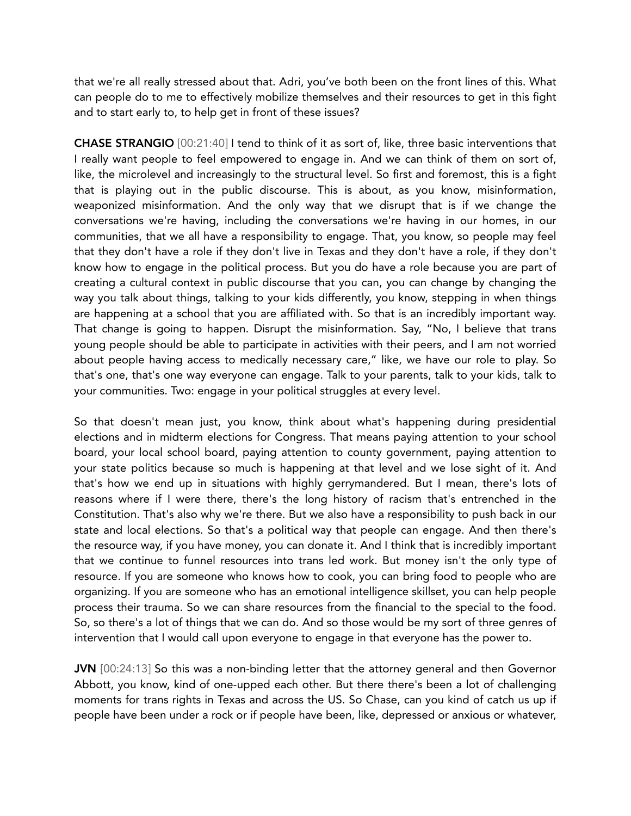that we're all really stressed about that. Adri, you've both been on the front lines of this. What can people do to me to effectively mobilize themselves and their resources to get in this fight and to start early to, to help get in front of these issues?

CHASE STRANGIO [00:21:40] I tend to think of it as sort of, like, three basic interventions that I really want people to feel empowered to engage in. And we can think of them on sort of, like, the microlevel and increasingly to the structural level. So first and foremost, this is a fight that is playing out in the public discourse. This is about, as you know, misinformation, weaponized misinformation. And the only way that we disrupt that is if we change the conversations we're having, including the conversations we're having in our homes, in our communities, that we all have a responsibility to engage. That, you know, so people may feel that they don't have a role if they don't live in Texas and they don't have a role, if they don't know how to engage in the political process. But you do have a role because you are part of creating a cultural context in public discourse that you can, you can change by changing the way you talk about things, talking to your kids differently, you know, stepping in when things are happening at a school that you are affiliated with. So that is an incredibly important way. That change is going to happen. Disrupt the misinformation. Say, "No, I believe that trans young people should be able to participate in activities with their peers, and I am not worried about people having access to medically necessary care," like, we have our role to play. So that's one, that's one way everyone can engage. Talk to your parents, talk to your kids, talk to your communities. Two: engage in your political struggles at every level.

So that doesn't mean just, you know, think about what's happening during presidential elections and in midterm elections for Congress. That means paying attention to your school board, your local school board, paying attention to county government, paying attention to your state politics because so much is happening at that level and we lose sight of it. And that's how we end up in situations with highly gerrymandered. But I mean, there's lots of reasons where if I were there, there's the long history of racism that's entrenched in the Constitution. That's also why we're there. But we also have a responsibility to push back in our state and local elections. So that's a political way that people can engage. And then there's the resource way, if you have money, you can donate it. And I think that is incredibly important that we continue to funnel resources into trans led work. But money isn't the only type of resource. If you are someone who knows how to cook, you can bring food to people who are organizing. If you are someone who has an emotional intelligence skillset, you can help people process their trauma. So we can share resources from the financial to the special to the food. So, so there's a lot of things that we can do. And so those would be my sort of three genres of intervention that I would call upon everyone to engage in that everyone has the power to.

JVN [00:24:13] So this was a non-binding letter that the attorney general and then Governor Abbott, you know, kind of one-upped each other. But there there's been a lot of challenging moments for trans rights in Texas and across the US. So Chase, can you kind of catch us up if people have been under a rock or if people have been, like, depressed or anxious or whatever,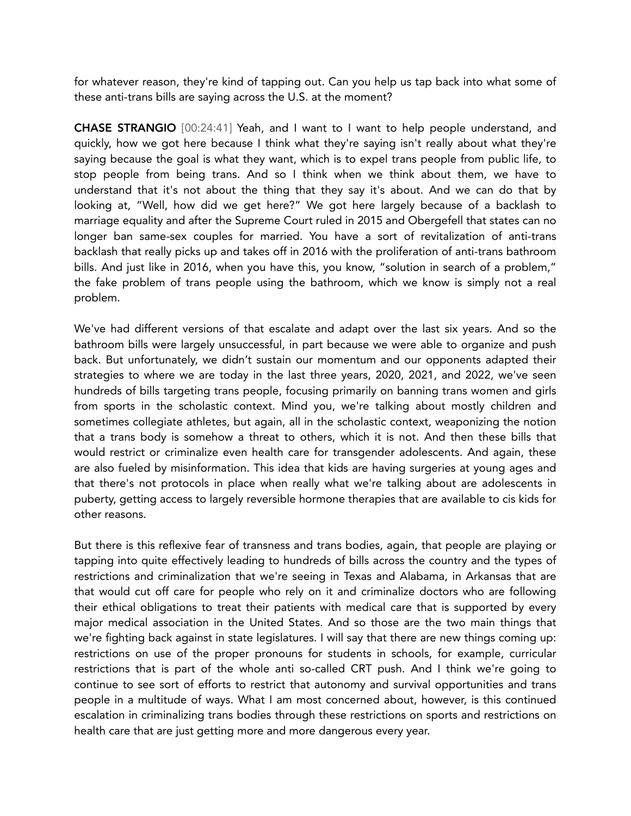for whatever reason, they're kind of tapping out. Can you help us tap back into what some of these anti-trans bills are saying across the U.S. at the moment?

CHASE STRANGIO [00:24:41] Yeah, and I want to I want to help people understand, and quickly, how we got here because I think what they're saying isn't really about what they're saying because the goal is what they want, which is to expel trans people from public life, to stop people from being trans. And so I think when we think about them, we have to understand that it's not about the thing that they say it's about. And we can do that by looking at, "Well, how did we get here?" We got here largely because of a backlash to marriage equality and after the Supreme Court ruled in 2015 and Obergefell that states can no longer ban same-sex couples for married. You have a sort of revitalization of anti-trans backlash that really picks up and takes off in 2016 with the proliferation of anti-trans bathroom bills. And just like in 2016, when you have this, you know, "solution in search of a problem," the fake problem of trans people using the bathroom, which we know is simply not a real problem.

We've had different versions of that escalate and adapt over the last six years. And so the bathroom bills were largely unsuccessful, in part because we were able to organize and push back. But unfortunately, we didn't sustain our momentum and our opponents adapted their strategies to where we are today in the last three years, 2020, 2021, and 2022, we've seen hundreds of bills targeting trans people, focusing primarily on banning trans women and girls from sports in the scholastic context. Mind you, we're talking about mostly children and sometimes collegiate athletes, but again, all in the scholastic context, weaponizing the notion that a trans body is somehow a threat to others, which it is not. And then these bills that would restrict or criminalize even health care for transgender adolescents. And again, these are also fueled by misinformation. This idea that kids are having surgeries at young ages and that there's not protocols in place when really what we're talking about are adolescents in puberty, getting access to largely reversible hormone therapies that are available to cis kids for other reasons.

But there is this reflexive fear of transness and trans bodies, again, that people are playing or tapping into quite effectively leading to hundreds of bills across the country and the types of restrictions and criminalization that we're seeing in Texas and Alabama, in Arkansas that are that would cut off care for people who rely on it and criminalize doctors who are following their ethical obligations to treat their patients with medical care that is supported by every major medical association in the United States. And so those are the two main things that we're fighting back against in state legislatures. I will say that there are new things coming up: restrictions on use of the proper pronouns for students in schools, for example, curricular restrictions that is part of the whole anti so-called CRT push. And I think we're going to continue to see sort of efforts to restrict that autonomy and survival opportunities and trans people in a multitude of ways. What I am most concerned about, however, is this continued escalation in criminalizing trans bodies through these restrictions on sports and restrictions on health care that are just getting more and more dangerous every year.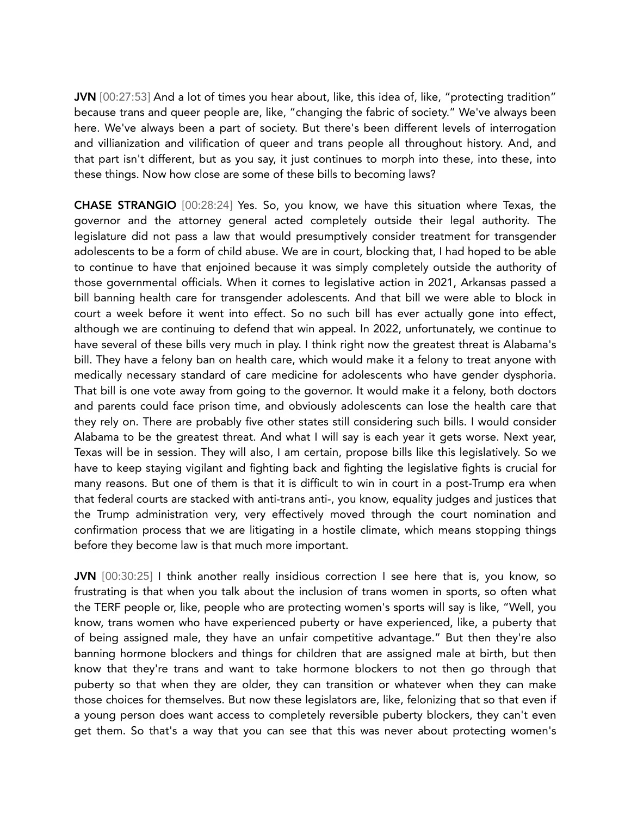JVN [00:27:53] And a lot of times you hear about, like, this idea of, like, "protecting tradition" because trans and queer people are, like, "changing the fabric of society." We've always been here. We've always been a part of society. But there's been different levels of interrogation and villianization and vilification of queer and trans people all throughout history. And, and that part isn't different, but as you say, it just continues to morph into these, into these, into these things. Now how close are some of these bills to becoming laws?

CHASE STRANGIO [00:28:24] Yes. So, you know, we have this situation where Texas, the governor and the attorney general acted completely outside their legal authority. The legislature did not pass a law that would presumptively consider treatment for transgender adolescents to be a form of child abuse. We are in court, blocking that, I had hoped to be able to continue to have that enjoined because it was simply completely outside the authority of those governmental officials. When it comes to legislative action in 2021, Arkansas passed a bill banning health care for transgender adolescents. And that bill we were able to block in court a week before it went into effect. So no such bill has ever actually gone into effect, although we are continuing to defend that win appeal. In 2022, unfortunately, we continue to have several of these bills very much in play. I think right now the greatest threat is Alabama's bill. They have a felony ban on health care, which would make it a felony to treat anyone with medically necessary standard of care medicine for adolescents who have gender dysphoria. That bill is one vote away from going to the governor. It would make it a felony, both doctors and parents could face prison time, and obviously adolescents can lose the health care that they rely on. There are probably five other states still considering such bills. I would consider Alabama to be the greatest threat. And what I will say is each year it gets worse. Next year, Texas will be in session. They will also, I am certain, propose bills like this legislatively. So we have to keep staying vigilant and fighting back and fighting the legislative fights is crucial for many reasons. But one of them is that it is difficult to win in court in a post-Trump era when that federal courts are stacked with anti-trans anti-, you know, equality judges and justices that the Trump administration very, very effectively moved through the court nomination and confirmation process that we are litigating in a hostile climate, which means stopping things before they become law is that much more important.

JVN [00:30:25] I think another really insidious correction I see here that is, you know, so frustrating is that when you talk about the inclusion of trans women in sports, so often what the TERF people or, like, people who are protecting women's sports will say is like, "Well, you know, trans women who have experienced puberty or have experienced, like, a puberty that of being assigned male, they have an unfair competitive advantage." But then they're also banning hormone blockers and things for children that are assigned male at birth, but then know that they're trans and want to take hormone blockers to not then go through that puberty so that when they are older, they can transition or whatever when they can make those choices for themselves. But now these legislators are, like, felonizing that so that even if a young person does want access to completely reversible puberty blockers, they can't even get them. So that's a way that you can see that this was never about protecting women's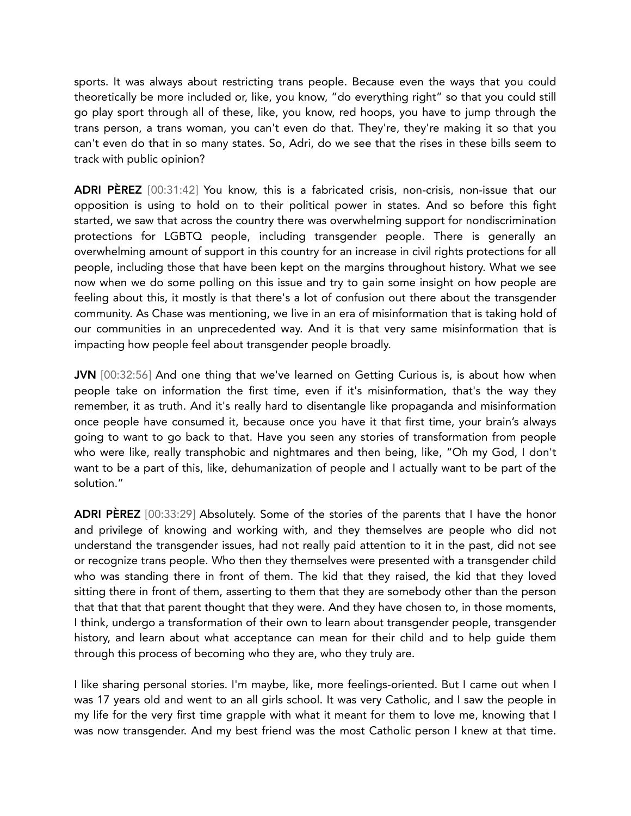sports. It was always about restricting trans people. Because even the ways that you could theoretically be more included or, like, you know, "do everything right" so that you could still go play sport through all of these, like, you know, red hoops, you have to jump through the trans person, a trans woman, you can't even do that. They're, they're making it so that you can't even do that in so many states. So, Adri, do we see that the rises in these bills seem to track with public opinion?

ADRI PEREZ [00:31:42] You know, this is a fabricated crisis, non-crisis, non-issue that our opposition is using to hold on to their political power in states. And so before this fight started, we saw that across the country there was overwhelming support for nondiscrimination protections for LGBTQ people, including transgender people. There is generally an overwhelming amount of support in this country for an increase in civil rights protections for all people, including those that have been kept on the margins throughout history. What we see now when we do some polling on this issue and try to gain some insight on how people are feeling about this, it mostly is that there's a lot of confusion out there about the transgender community. As Chase was mentioning, we live in an era of misinformation that is taking hold of our communities in an unprecedented way. And it is that very same misinformation that is impacting how people feel about transgender people broadly.

JVN [00:32:56] And one thing that we've learned on Getting Curious is, is about how when people take on information the first time, even if it's misinformation, that's the way they remember, it as truth. And it's really hard to disentangle like propaganda and misinformation once people have consumed it, because once you have it that first time, your brain's always going to want to go back to that. Have you seen any stories of transformation from people who were like, really transphobic and nightmares and then being, like, "Oh my God, I don't want to be a part of this, like, dehumanization of people and I actually want to be part of the solution."

ADRI PÈREZ [00:33:29] Absolutely. Some of the stories of the parents that I have the honor and privilege of knowing and working with, and they themselves are people who did not understand the transgender issues, had not really paid attention to it in the past, did not see or recognize trans people. Who then they themselves were presented with a transgender child who was standing there in front of them. The kid that they raised, the kid that they loved sitting there in front of them, asserting to them that they are somebody other than the person that that that that parent thought that they were. And they have chosen to, in those moments, I think, undergo a transformation of their own to learn about transgender people, transgender history, and learn about what acceptance can mean for their child and to help guide them through this process of becoming who they are, who they truly are.

I like sharing personal stories. I'm maybe, like, more feelings-oriented. But I came out when I was 17 years old and went to an all girls school. It was very Catholic, and I saw the people in my life for the very first time grapple with what it meant for them to love me, knowing that I was now transgender. And my best friend was the most Catholic person I knew at that time.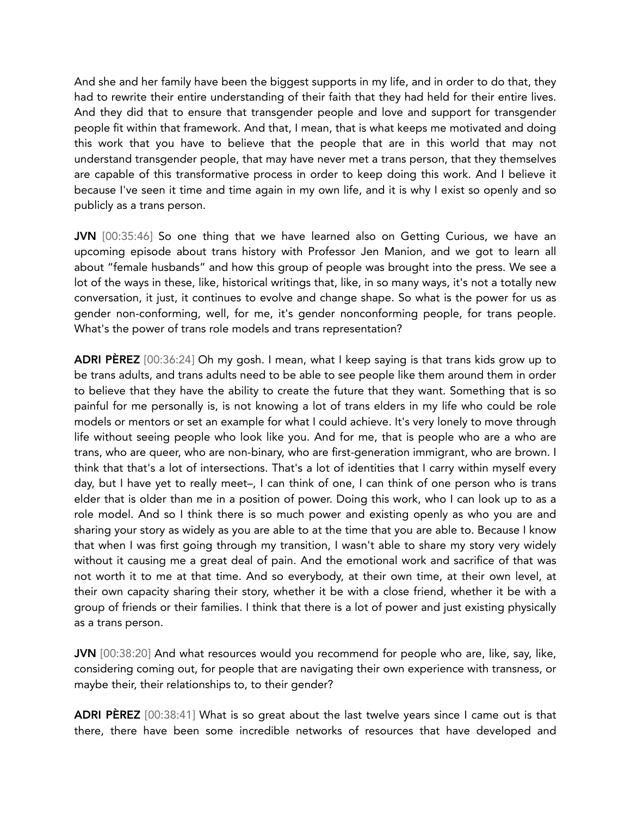And she and her family have been the biggest supports in my life, and in order to do that, they had to rewrite their entire understanding of their faith that they had held for their entire lives. And they did that to ensure that transgender people and love and support for transgender people fit within that framework. And that, I mean, that is what keeps me motivated and doing this work that you have to believe that the people that are in this world that may not understand transgender people, that may have never met a trans person, that they themselves are capable of this transformative process in order to keep doing this work. And I believe it because I've seen it time and time again in my own life, and it is why I exist so openly and so publicly as a trans person.

JVN [00:35:46] So one thing that we have learned also on Getting Curious, we have an upcoming episode about trans history with Professor Jen Manion, and we got to learn all about "female husbands" and how this group of people was brought into the press. We see a lot of the ways in these, like, historical writings that, like, in so many ways, it's not a totally new conversation, it just, it continues to evolve and change shape. So what is the power for us as gender non-conforming, well, for me, it's gender nonconforming people, for trans people. What's the power of trans role models and trans representation?

ADRI PÈREZ [00:36:24] Oh my gosh. I mean, what I keep saying is that trans kids grow up to be trans adults, and trans adults need to be able to see people like them around them in order to believe that they have the ability to create the future that they want. Something that is so painful for me personally is, is not knowing a lot of trans elders in my life who could be role models or mentors or set an example for what I could achieve. It's very lonely to move through life without seeing people who look like you. And for me, that is people who are a who are trans, who are queer, who are non-binary, who are first-generation immigrant, who are brown. I think that that's a lot of intersections. That's a lot of identities that I carry within myself every day, but I have yet to really meet–, I can think of one, I can think of one person who is trans elder that is older than me in a position of power. Doing this work, who I can look up to as a role model. And so I think there is so much power and existing openly as who you are and sharing your story as widely as you are able to at the time that you are able to. Because I know that when I was first going through my transition, I wasn't able to share my story very widely without it causing me a great deal of pain. And the emotional work and sacrifice of that was not worth it to me at that time. And so everybody, at their own time, at their own level, at their own capacity sharing their story, whether it be with a close friend, whether it be with a group of friends or their families. I think that there is a lot of power and just existing physically as a trans person.

JVN [00:38:20] And what resources would you recommend for people who are, like, say, like, considering coming out, for people that are navigating their own experience with transness, or maybe their, their relationships to, to their gender?

ADRI PEREZ [00:38:41] What is so great about the last twelve years since I came out is that there, there have been some incredible networks of resources that have developed and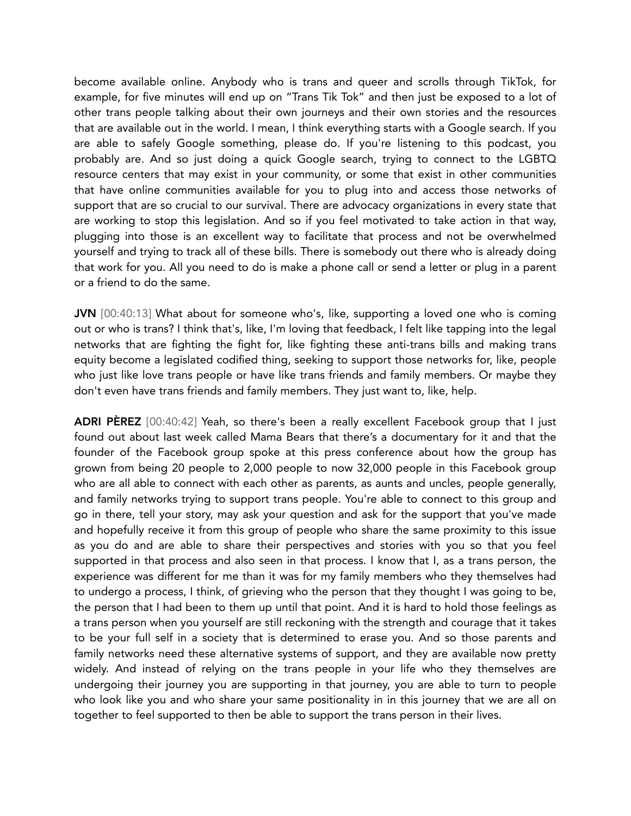become available online. Anybody who is trans and queer and scrolls through TikTok, for example, for five minutes will end up on "Trans Tik Tok" and then just be exposed to a lot of other trans people talking about their own journeys and their own stories and the resources that are available out in the world. I mean, I think everything starts with a Google search. If you are able to safely Google something, please do. If you're listening to this podcast, you probably are. And so just doing a quick Google search, trying to connect to the LGBTQ resource centers that may exist in your community, or some that exist in other communities that have online communities available for you to plug into and access those networks of support that are so crucial to our survival. There are advocacy organizations in every state that are working to stop this legislation. And so if you feel motivated to take action in that way, plugging into those is an excellent way to facilitate that process and not be overwhelmed yourself and trying to track all of these bills. There is somebody out there who is already doing that work for you. All you need to do is make a phone call or send a letter or plug in a parent or a friend to do the same.

JVN [00:40:13] What about for someone who's, like, supporting a loved one who is coming out or who is trans? I think that's, like, I'm loving that feedback, I felt like tapping into the legal networks that are fighting the fight for, like fighting these anti-trans bills and making trans equity become a legislated codified thing, seeking to support those networks for, like, people who just like love trans people or have like trans friends and family members. Or maybe they don't even have trans friends and family members. They just want to, like, help.

ADRI PEREZ [00:40:42] Yeah, so there's been a really excellent Facebook group that I just found out about last week called Mama Bears that there's a documentary for it and that the founder of the Facebook group spoke at this press conference about how the group has grown from being 20 people to 2,000 people to now 32,000 people in this Facebook group who are all able to connect with each other as parents, as aunts and uncles, people generally, and family networks trying to support trans people. You're able to connect to this group and go in there, tell your story, may ask your question and ask for the support that you've made and hopefully receive it from this group of people who share the same proximity to this issue as you do and are able to share their perspectives and stories with you so that you feel supported in that process and also seen in that process. I know that I, as a trans person, the experience was different for me than it was for my family members who they themselves had to undergo a process, I think, of grieving who the person that they thought I was going to be, the person that I had been to them up until that point. And it is hard to hold those feelings as a trans person when you yourself are still reckoning with the strength and courage that it takes to be your full self in a society that is determined to erase you. And so those parents and family networks need these alternative systems of support, and they are available now pretty widely. And instead of relying on the trans people in your life who they themselves are undergoing their journey you are supporting in that journey, you are able to turn to people who look like you and who share your same positionality in in this journey that we are all on together to feel supported to then be able to support the trans person in their lives.